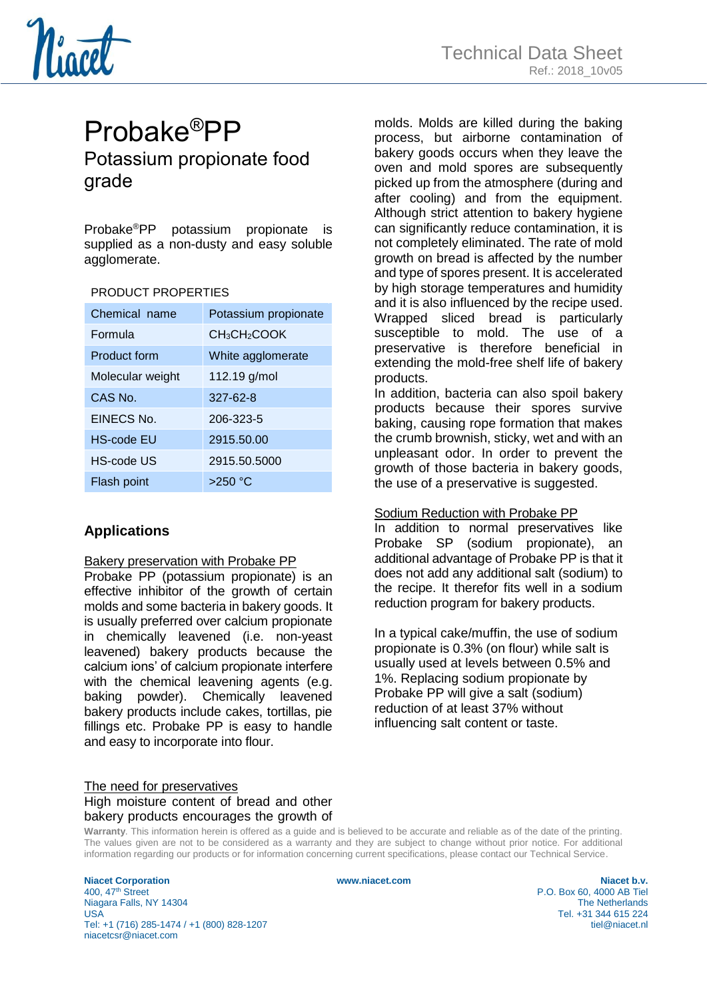

# Probake®PP Potassium propionate food grade

Probake®PP potassium propionate is supplied as a non-dusty and easy soluble agglomerate.

#### PRODUCT PROPERTIES

| Chemical name       | Potassium propionate                 |
|---------------------|--------------------------------------|
| Formula             | CH <sub>3</sub> CH <sub>2</sub> COOK |
| <b>Product form</b> | White agglomerate                    |
| Molecular weight    | 112.19 g/mol                         |
| CAS No.             | $327 - 62 - 8$                       |
| EINECS No.          | 206-323-5                            |
| <b>HS-code EU</b>   | 2915.50.00                           |
| HS-code US          | 2915.50.5000                         |
| Flash point         | >250 °C                              |

# **Applications**

#### Bakery preservation with Probake PP

Probake PP (potassium propionate) is an effective inhibitor of the growth of certain molds and some bacteria in bakery goods. It is usually preferred over calcium propionate in chemically leavened (i.e. non-yeast leavened) bakery products because the calcium ions' of calcium propionate interfere with the chemical leavening agents (e.g. baking powder). Chemically leavened bakery products include cakes, tortillas, pie fillings etc. Probake PP is easy to handle and easy to incorporate into flour.

### molds. Molds are killed during the baking process, but airborne contamination of bakery goods occurs when they leave the oven and mold spores are subsequently picked up from the atmosphere (during and after cooling) and from the equipment. Although strict attention to bakery hygiene can significantly reduce contamination, it is not completely eliminated. The rate of mold growth on bread is affected by the number and type of spores present. It is accelerated by high storage temperatures and humidity and it is also influenced by the recipe used. Wrapped sliced bread is particularly susceptible to mold. The use of a preservative is therefore beneficial in extending the mold-free shelf life of bakery products.

In addition, bacteria can also spoil bakery products because their spores survive baking, causing rope formation that makes the crumb brownish, sticky, wet and with an unpleasant odor. In order to prevent the growth of those bacteria in bakery goods, the use of a preservative is suggested.

# Sodium Reduction with Probake PP

In addition to normal preservatives like Probake SP (sodium propionate), an additional advantage of Probake PP is that it does not add any additional salt (sodium) to the recipe. It therefor fits well in a sodium reduction program for bakery products.

In a typical cake/muffin, the use of sodium propionate is 0.3% (on flour) while salt is usually used at levels between 0.5% and 1%. Replacing sodium propionate by Probake PP will give a salt (sodium) reduction of at least 37% without influencing salt content or taste.

# The need for preservatives High moisture content of bread and other bakery products encourages the growth of

**Warranty**. This information herein is offered as a guide and is believed to be accurate and reliable as of the date of the printing. The values given are not to be considered as a warranty and they are subject to change without prior notice. For additional information regarding our products or for information concerning current specifications, please contact our Technical Service.

**Niacet Corporation www.niacet.com Niacet b.v.**  Niagara Falls, NY 14304 USA Tel. +31 344 615 224 Tel: +1 (716) 285-1474 / +1 (800) 828-1207 tiel@niacet.nl niacetcsr@niacet.com

P.O. Box 60, 4000 AB Tiel<br>The Netherlands